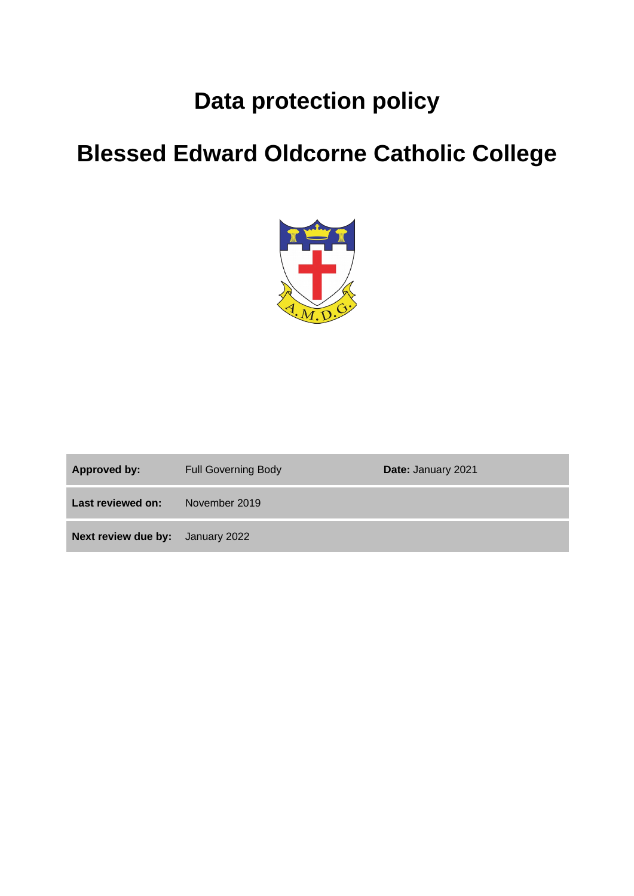# **Data protection policy**

# **Blessed Edward Oldcorne Catholic College**



| Approved by:                            | <b>Full Governing Body</b> | <b>Date: January 2021</b> |
|-----------------------------------------|----------------------------|---------------------------|
| Last reviewed on:                       | November 2019              |                           |
| <b>Next review due by:</b> January 2022 |                            |                           |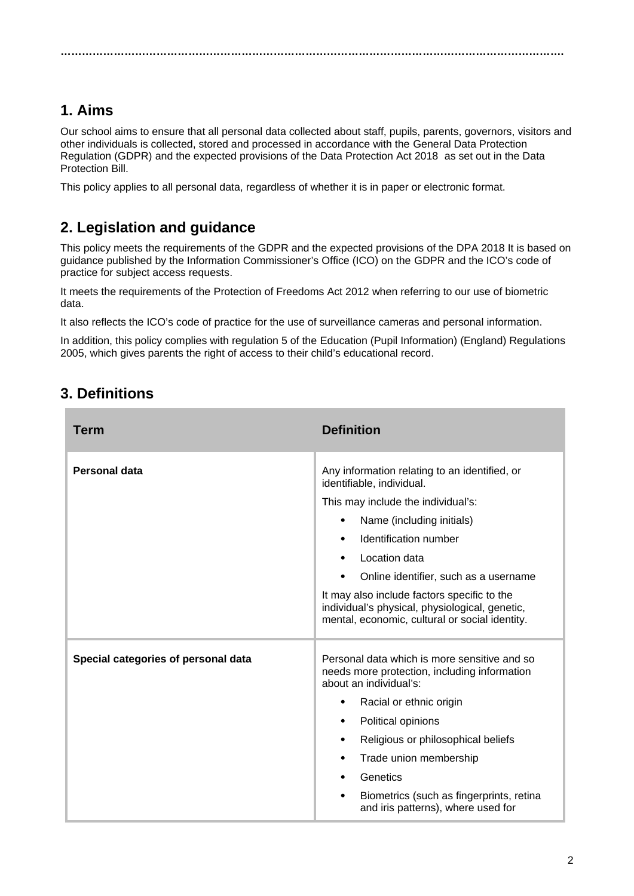# **1. Aims**

Our school aims to ensure that all personal data collected about staff, pupils, parents, governors, visitors and other individuals is collected, stored and processed in accordance with the [General Data Protection](http://data.consilium.europa.eu/doc/document/ST-5419-2016-INIT/en/pdf)  [Regulation \(GDPR\)](http://data.consilium.europa.eu/doc/document/ST-5419-2016-INIT/en/pdf) and the expected provisions of the Data Protection Act 2018 as set out in the [Data](https://publications.parliament.uk/pa/bills/cbill/2017-2019/0153/18153.pdf)  [Protection Bill.](https://publications.parliament.uk/pa/bills/cbill/2017-2019/0153/18153.pdf)

**…………………………………………………………………………………………………………………………….**

This policy applies to all personal data, regardless of whether it is in paper or electronic format.

# **2. Legislation and guidance**

This policy meets the requirements of the GDPR and the expected provisions of the DPA 2018 It is based on guidance published by the Information Commissioner's Office (ICO) on the [GDPR](https://ico.org.uk/for-organisations/guide-to-the-general-data-protection-regulation-gdpr/) and the ICO's [code of](https://ico.org.uk/media/for-organisations/documents/2014223/subject-access-code-of-practice.pdf)  [practice for subject access requests.](https://ico.org.uk/media/for-organisations/documents/2014223/subject-access-code-of-practice.pdf)

It meets the requirements of the [Protection of Freedoms Act 2012](https://www.legislation.gov.uk/ukpga/2012/9/part/1/chapter/2) when referring to our use of biometric data.

It also reflects the ICO's [code of practice](https://ico.org.uk/media/for-organisations/documents/1542/cctv-code-of-practice.pdf) for the use of surveillance cameras and personal information.

In addition, this policy complies with regulation 5 of the [Education \(Pupil Information\) \(England\) Regulations](http://www.legislation.gov.uk/uksi/2005/1437/regulation/5/made)  [2005,](http://www.legislation.gov.uk/uksi/2005/1437/regulation/5/made) which gives parents the right of access to their child's educational record.

# **3. Definitions**

| Term                                | <b>Definition</b>                                                                                                                               |
|-------------------------------------|-------------------------------------------------------------------------------------------------------------------------------------------------|
| <b>Personal data</b>                | Any information relating to an identified, or<br>identifiable, individual.                                                                      |
|                                     | This may include the individual's:                                                                                                              |
|                                     | Name (including initials)<br>٠                                                                                                                  |
|                                     | Identification number<br>$\bullet$                                                                                                              |
|                                     | Location data<br>$\bullet$                                                                                                                      |
|                                     | Online identifier, such as a username<br>٠                                                                                                      |
|                                     | It may also include factors specific to the<br>individual's physical, physiological, genetic,<br>mental, economic, cultural or social identity. |
| Special categories of personal data | Personal data which is more sensitive and so<br>needs more protection, including information<br>about an individual's:                          |
|                                     | Racial or ethnic origin<br>٠                                                                                                                    |
|                                     | Political opinions<br>$\bullet$                                                                                                                 |
|                                     | Religious or philosophical beliefs<br>$\bullet$                                                                                                 |
|                                     | Trade union membership<br>$\bullet$                                                                                                             |
|                                     | Genetics<br>$\bullet$                                                                                                                           |
|                                     | Biometrics (such as fingerprints, retina<br>$\bullet$<br>and iris patterns), where used for                                                     |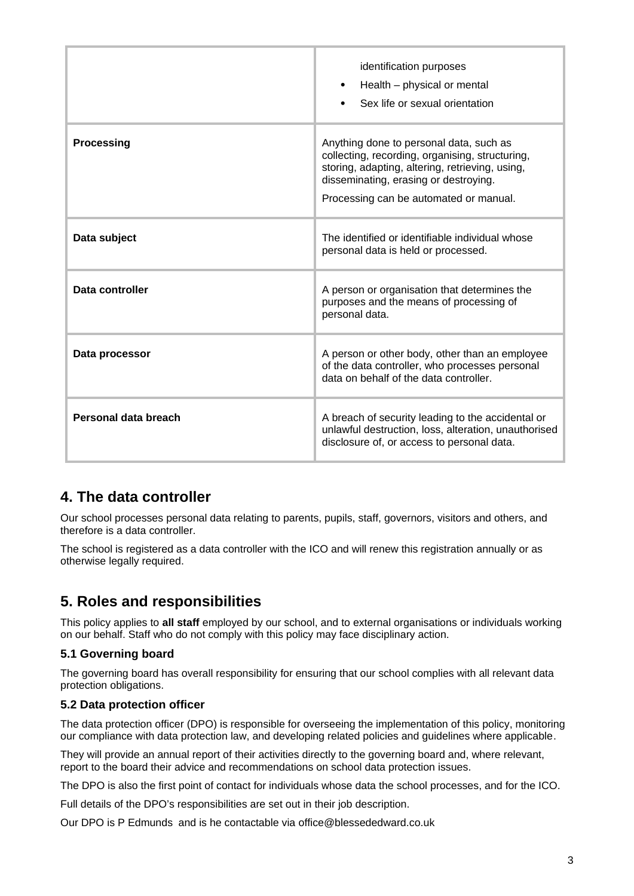|                      | identification purposes<br>Health – physical or mental<br>$\bullet$<br>Sex life or sexual orientation                                                                                                                            |
|----------------------|----------------------------------------------------------------------------------------------------------------------------------------------------------------------------------------------------------------------------------|
| <b>Processing</b>    | Anything done to personal data, such as<br>collecting, recording, organising, structuring,<br>storing, adapting, altering, retrieving, using,<br>disseminating, erasing or destroying.<br>Processing can be automated or manual. |
| Data subject         | The identified or identifiable individual whose<br>personal data is held or processed.                                                                                                                                           |
| Data controller      | A person or organisation that determines the<br>purposes and the means of processing of<br>personal data.                                                                                                                        |
| Data processor       | A person or other body, other than an employee<br>of the data controller, who processes personal<br>data on behalf of the data controller.                                                                                       |
| Personal data breach | A breach of security leading to the accidental or<br>unlawful destruction, loss, alteration, unauthorised<br>disclosure of, or access to personal data.                                                                          |

# **4. The data controller**

Our school processes personal data relating to parents, pupils, staff, governors, visitors and others, and therefore is a data controller.

The school is registered as a data controller with the ICO and will renew this registration annually or as otherwise legally required.

# **5. Roles and responsibilities**

This policy applies to **all staff** employed by our school, and to external organisations or individuals working on our behalf. Staff who do not comply with this policy may face disciplinary action.

#### **5.1 Governing board**

The governing board has overall responsibility for ensuring that our school complies with all relevant data protection obligations.

#### **5.2 Data protection officer**

The data protection officer (DPO) is responsible for overseeing the implementation of this policy, monitoring our compliance with data protection law, and developing related policies and guidelines where applicable.

They will provide an annual report of their activities directly to the governing board and, where relevant, report to the board their advice and recommendations on school data protection issues.

The DPO is also the first point of contact for individuals whose data the school processes, and for the ICO.

Full details of the DPO's responsibilities are set out in their job description.

Our DPO is P Edmunds and is he contactable via office@blessededward.co.uk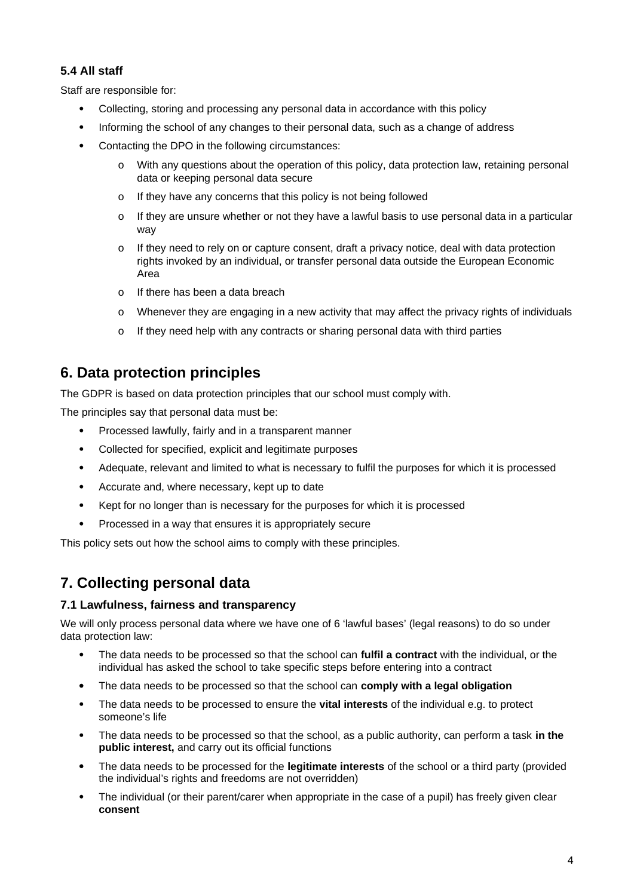#### **5.4 All staff**

Staff are responsible for:

- Collecting, storing and processing any personal data in accordance with this policy
- Informing the school of any changes to their personal data, such as a change of address
- Contacting the DPO in the following circumstances:
	- o With any questions about the operation of this policy, data protection law, retaining personal data or keeping personal data secure
	- o If they have any concerns that this policy is not being followed
	- o If they are unsure whether or not they have a lawful basis to use personal data in a particular way
	- o If they need to rely on or capture consent, draft a privacy notice, deal with data protection rights invoked by an individual, or transfer personal data outside the European Economic Area
	- o If there has been a data breach
	- o Whenever they are engaging in a new activity that may affect the privacy rights of individuals
	- o If they need help with any contracts or sharing personal data with third parties

### **6. Data protection principles**

The GDPR is based on data protection principles that our school must comply with.

The principles say that personal data must be:

- Processed lawfully, fairly and in a transparent manner
- Collected for specified, explicit and legitimate purposes
- Adequate, relevant and limited to what is necessary to fulfil the purposes for which it is processed
- Accurate and, where necessary, kept up to date
- Kept for no longer than is necessary for the purposes for which it is processed
- Processed in a way that ensures it is appropriately secure

This policy sets out how the school aims to comply with these principles.

# **7. Collecting personal data**

#### **7.1 Lawfulness, fairness and transparency**

We will only process personal data where we have one of 6 'lawful bases' (legal reasons) to do so under data protection law:

- The data needs to be processed so that the school can **fulfil a contract** with the individual, or the individual has asked the school to take specific steps before entering into a contract
- The data needs to be processed so that the school can **comply with a legal obligation**
- The data needs to be processed to ensure the **vital interests** of the individual e.g. to protect someone's life
- The data needs to be processed so that the school, as a public authority, can perform a task **in the public interest,** and carry out its official functions
- The data needs to be processed for the **legitimate interests** of the school or a third party (provided the individual's rights and freedoms are not overridden)
- The individual (or their parent/carer when appropriate in the case of a pupil) has freely given clear **consent**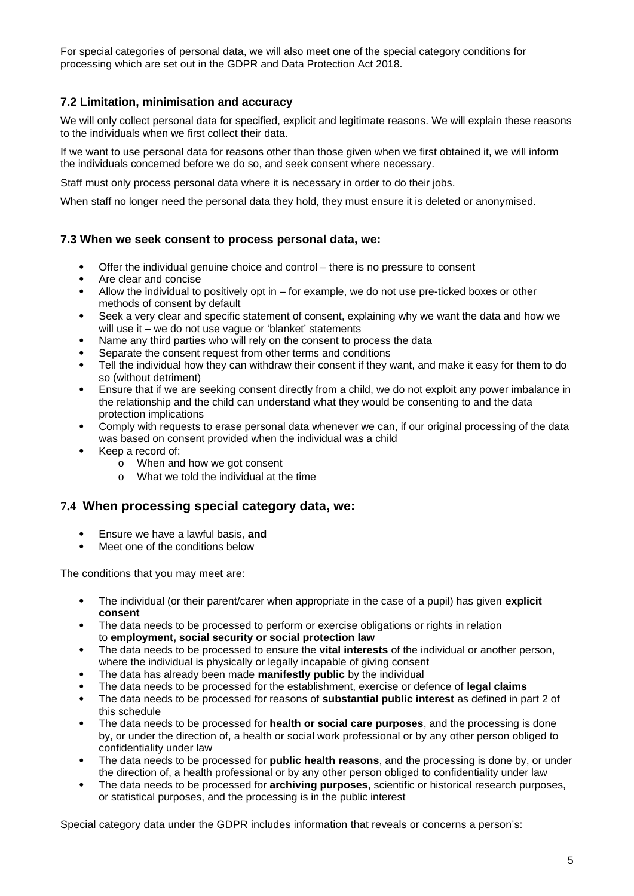For special categories of personal data, we will also meet one of the special category conditions for processing which are set out in the GDPR and Data Protection Act 2018.

#### **7.2 Limitation, minimisation and accuracy**

We will only collect personal data for specified, explicit and legitimate reasons. We will explain these reasons to the individuals when we first collect their data.

If we want to use personal data for reasons other than those given when we first obtained it, we will inform the individuals concerned before we do so, and seek consent where necessary.

Staff must only process personal data where it is necessary in order to do their jobs.

When staff no longer need the personal data they hold, they must ensure it is deleted or anonymised.

#### **7.3 When we seek consent to process personal data, we:**

- Offer the individual genuine choice and control there is no pressure to consent
- Are clear and concise
- Allow the individual to positively opt in for example, we do not use pre-ticked boxes or other methods of consent by default
- Seek a very clear and specific statement of consent, explaining why we want the data and how we will use it – we do not use vague or 'blanket' statements
- Name any third parties who will rely on the consent to process the data
- Separate the consent request from other terms and conditions
- Tell the individual how they can withdraw their consent if they want, and make it easy for them to do so (without detriment)
- Ensure that if we are seeking consent directly from a child, we do not exploit any power imbalance in the relationship and the child can understand what they would be consenting to and the data protection implications
- Comply with requests to erase personal data whenever we can, if our original processing of the data was based on consent provided when the individual was a child
- Keep a record of:
	- o When and how we got consent
	- o What we told the individual at the time

#### **7.4 When processing special category data, we:**

- Ensure we have a lawful basis, **and**
- Meet one of the conditions below

The conditions that you may meet are:

- The individual (or their parent/carer when appropriate in the case of a pupil) has given **explicit consent**
- The data needs to be processed to perform or exercise obligations or rights in relation to **employment, social security or social protection law**
- The data needs to be processed to ensure the **vital interests** of the individual or another person, where the individual is physically or legally incapable of giving consent
- The data has already been made **manifestly public** by the individual
- The data needs to be processed for the establishment, exercise or defence of **legal claims**
- The data needs to be processed for reasons of **substantial public interest** as defined in part 2 of this schedule
- The data needs to be processed for **health or social care purposes**, and the processing is done by, or under the direction of, a health or social work professional or by any other person obliged to confidentiality under law
- The data needs to be processed for **public health reasons**, and the processing is done by, or under the direction of, a health professional or by any other person obliged to confidentiality under law
- The data needs to be processed for **archiving purposes**, scientific or historical research purposes, or statistical purposes, and the processing is in the public interest

Special category data under the GDPR includes information that reveals or concerns a person's: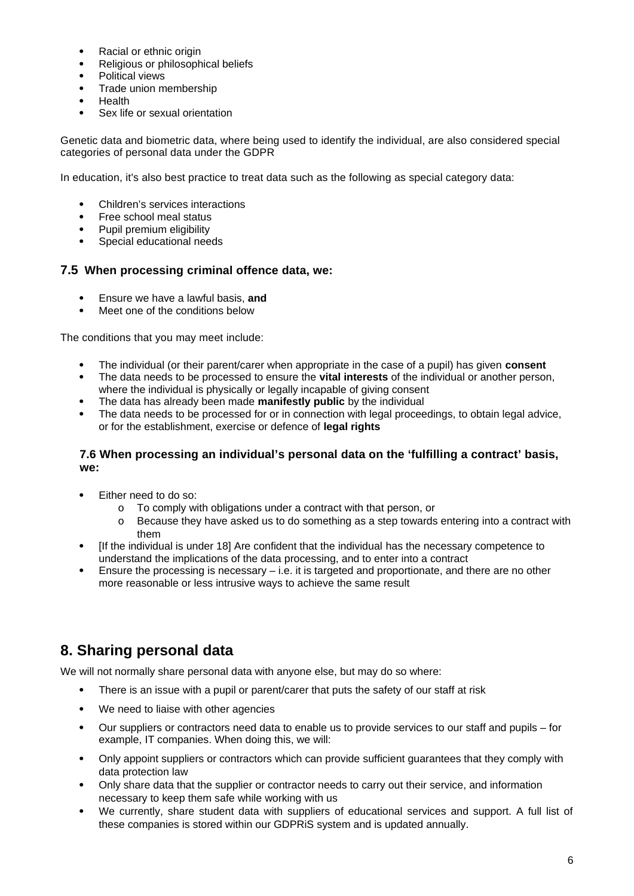- Racial or ethnic origin
- Religious or philosophical beliefs
- Political views
- Trade union membership
- Health
- Sex life or sexual orientation

Genetic data and biometric data, where being used to identify the individual, are also considered special categories of personal data under the GDPR

In education, it's also best practice to treat data such as the following as special category data:

- Children's services interactions
- Free school meal status
- Pupil premium eligibility<br>• Special educational need
- Special educational needs

#### **7.5 When processing criminal offence data, we:**

- Ensure we have a lawful basis, **and**
- Meet one of the conditions below

The conditions that you may meet include:

- The individual (or their parent/carer when appropriate in the case of a pupil) has given **consent**
- The data needs to be processed to ensure the **vital interests** of the individual or another person, where the individual is physically or legally incapable of giving consent
- The data has already been made **manifestly public** by the individual
- The data needs to be processed for or in connection with legal proceedings, to obtain legal advice, or for the establishment, exercise or defence of **legal rights**

#### **7.6 When processing an individual's personal data on the 'fulfilling a contract' basis, we:**

- Either need to do so:
	- o To comply with obligations under a contract with that person, or
	- o Because they have asked us to do something as a step towards entering into a contract with them
- If the individual is under 18] Are confident that the individual has the necessary competence to understand the implications of the data processing, and to enter into a contract
- Ensure the processing is necessary i.e. it is targeted and proportionate, and there are no other more reasonable or less intrusive ways to achieve the same result

# **8. Sharing personal data**

We will not normally share personal data with anyone else, but may do so where:

- There is an issue with a pupil or parent/carer that puts the safety of our staff at risk
- We need to liaise with other agencies
- Our suppliers or contractors need data to enable us to provide services to our staff and pupils for example, IT companies. When doing this, we will:
- Only appoint suppliers or contractors which can provide sufficient guarantees that they comply with data protection law
- Only share data that the supplier or contractor needs to carry out their service, and information necessary to keep them safe while working with us
- We currently, share student data with suppliers of educational services and support. A full list of these companies is stored within our GDPRiS system and is updated annually.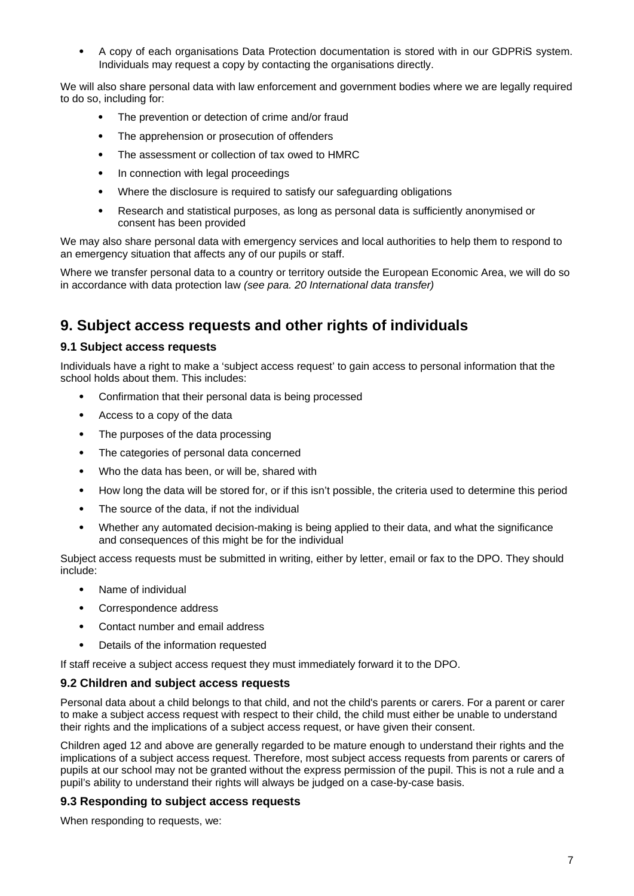A copy of each organisations Data Protection documentation is stored with in our GDPRiS system. Individuals may request a copy by contacting the organisations directly.

We will also share personal data with law enforcement and government bodies where we are legally required to do so, including for:

- The prevention or detection of crime and/or fraud
- The apprehension or prosecution of offenders
- The assessment or collection of tax owed to HMRC
- In connection with legal proceedings
- Where the disclosure is required to satisfy our safeguarding obligations
- Research and statistical purposes, as long as personal data is sufficiently anonymised or consent has been provided

We may also share personal data with emergency services and local authorities to help them to respond to an emergency situation that affects any of our pupils or staff.

Where we transfer personal data to a country or territory outside the European Economic Area, we will do so in accordance with data protection law *(see para. 20 International data transfer)*

### **9. Subject access requests and other rights of individuals**

#### **9.1 Subject access requests**

Individuals have a right to make a 'subject access request' to gain access to personal information that the school holds about them. This includes:

- Confirmation that their personal data is being processed
- Access to a copy of the data
- The purposes of the data processing
- The categories of personal data concerned
- Who the data has been, or will be, shared with
- How long the data will be stored for, or if this isn't possible, the criteria used to determine this period
- The source of the data, if not the individual
- Whether any automated decision-making is being applied to their data, and what the significance and consequences of this might be for the individual

Subject access requests must be submitted in writing, either by letter, email or fax to the DPO. They should include:

- Name of individual
- Correspondence address
- Contact number and email address
- Details of the information requested

If staff receive a subject access request they must immediately forward it to the DPO.

#### **9.2 Children and subject access requests**

Personal data about a child belongs to that child, and not the child's parents or carers. For a parent or carer to make a subject access request with respect to their child, the child must either be unable to understand their rights and the implications of a subject access request, or have given their consent.

Children aged 12 and above are generally regarded to be mature enough to understand their rights and the implications of a subject access request. Therefore, most subject access requests from parents or carers of pupils at our school may not be granted without the express permission of the pupil. This is not a rule and a pupil's ability to understand their rights will always be judged on a case-by-case basis.

#### **9.3 Responding to subject access requests**

When responding to requests, we: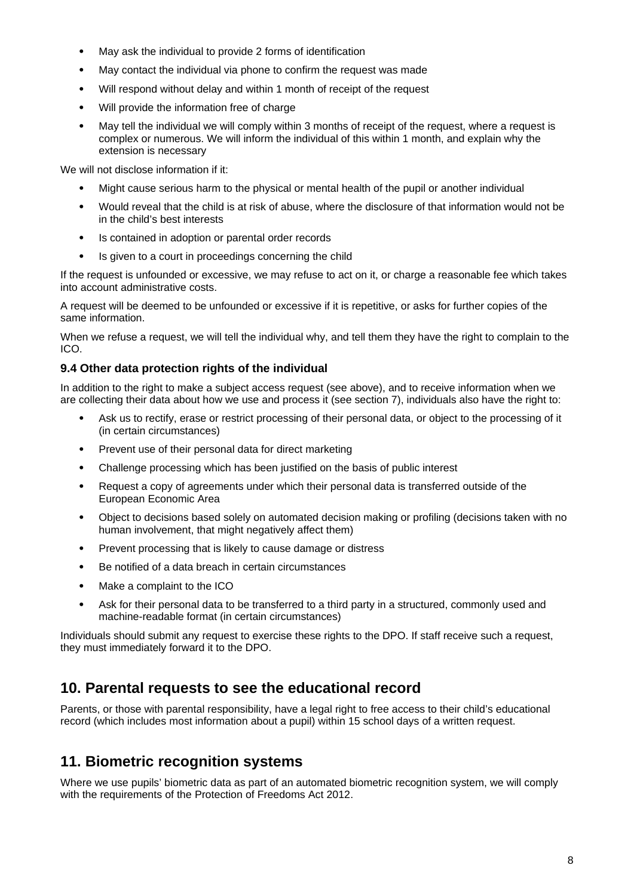- May ask the individual to provide 2 forms of identification
- May contact the individual via phone to confirm the request was made
- Will respond without delay and within 1 month of receipt of the request
- Will provide the information free of charge
- May tell the individual we will comply within 3 months of receipt of the request, where a request is complex or numerous. We will inform the individual of this within 1 month, and explain why the extension is necessary

We will not disclose information if it:

- Might cause serious harm to the physical or mental health of the pupil or another individual
- Would reveal that the child is at risk of abuse, where the disclosure of that information would not be in the child's best interests
- Is contained in adoption or parental order records
- Is given to a court in proceedings concerning the child

If the request is unfounded or excessive, we may refuse to act on it, or charge a reasonable fee which takes into account administrative costs.

A request will be deemed to be unfounded or excessive if it is repetitive, or asks for further copies of the same information.

When we refuse a request, we will tell the individual why, and tell them they have the right to complain to the ICO.

#### **9.4 Other data protection rights of the individual**

In addition to the right to make a subject access request (see above), and to receive information when we are collecting their data about how we use and process it (see section 7), individuals also have the right to:

- Ask us to rectify, erase or restrict processing of their personal data, or object to the processing of it (in certain circumstances)
- Prevent use of their personal data for direct marketing
- Challenge processing which has been justified on the basis of public interest
- Request a copy of agreements under which their personal data is transferred outside of the European Economic Area
- Object to decisions based solely on automated decision making or profiling (decisions taken with no human involvement, that might negatively affect them)
- Prevent processing that is likely to cause damage or distress
- Be notified of a data breach in certain circumstances
- Make a complaint to the ICO
- Ask for their personal data to be transferred to a third party in a structured, commonly used and machine-readable format (in certain circumstances)

Individuals should submit any request to exercise these rights to the DPO. If staff receive such a request, they must immediately forward it to the DPO.

# **10. Parental requests to see the educational record**

Parents, or those with parental responsibility, have a legal right to free access to their child's educational record (which includes most information about a pupil) within 15 school days of a written request.

# **11. Biometric recognition systems**

Where we use pupils' biometric data as part of an automated biometric recognition system, we will comply with the requirements of the [Protection of Freedoms Act 2012.](https://www.legislation.gov.uk/ukpga/2012/9/section/26)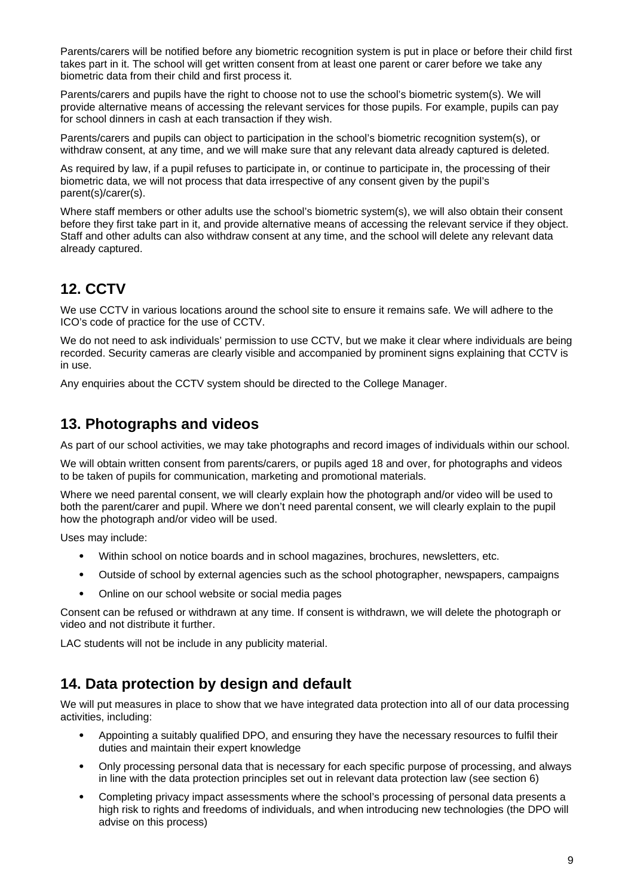Parents/carers will be notified before any biometric recognition system is put in place or before their child first takes part in it. The school will get written consent from at least one parent or carer before we take any biometric data from their child and first process it.

Parents/carers and pupils have the right to choose not to use the school's biometric system(s). We will provide alternative means of accessing the relevant services for those pupils. For example, pupils can pay for school dinners in cash at each transaction if they wish.

Parents/carers and pupils can object to participation in the school's biometric recognition system(s), or withdraw consent, at any time, and we will make sure that any relevant data already captured is deleted.

As required by law, if a pupil refuses to participate in, or continue to participate in, the processing of their biometric data, we will not process that data irrespective of any consent given by the pupil's parent(s)/carer(s).

Where staff members or other adults use the school's biometric system(s), we will also obtain their consent before they first take part in it, and provide alternative means of accessing the relevant service if they object. Staff and other adults can also withdraw consent at any time, and the school will delete any relevant data already captured.

# **12. CCTV**

We use CCTV in various locations around the school site to ensure it remains safe. We will adhere to the ICO's [code of practice](https://ico.org.uk/media/for-organisations/documents/1542/cctv-code-of-practice.pdf) for the use of CCTV.

We do not need to ask individuals' permission to use CCTV, but we make it clear where individuals are being recorded. Security cameras are clearly visible and accompanied by prominent signs explaining that CCTV is in use.

Any enquiries about the CCTV system should be directed to the College Manager.

### **13. Photographs and videos**

As part of our school activities, we may take photographs and record images of individuals within our school.

We will obtain written consent from parents/carers, or pupils aged 18 and over, for photographs and videos to be taken of pupils for communication, marketing and promotional materials.

Where we need parental consent, we will clearly explain how the photograph and/or video will be used to both the parent/carer and pupil. Where we don't need parental consent, we will clearly explain to the pupil how the photograph and/or video will be used.

Uses may include:

- Within school on notice boards and in school magazines, brochures, newsletters, etc.
- Outside of school by external agencies such as the school photographer, newspapers, campaigns
- Online on our school website or social media pages

Consent can be refused or withdrawn at any time. If consent is withdrawn, we will delete the photograph or video and not distribute it further.

LAC students will not be include in any publicity material.

# **14. Data protection by design and default**

We will put measures in place to show that we have integrated data protection into all of our data processing activities, including:

- Appointing a suitably qualified DPO, and ensuring they have the necessary resources to fulfil their duties and maintain their expert knowledge
- Only processing personal data that is necessary for each specific purpose of processing, and always in line with the data protection principles set out in relevant data protection law (see section 6)
- Completing privacy impact assessments where the school's processing of personal data presents a high risk to rights and freedoms of individuals, and when introducing new technologies (the DPO will advise on this process)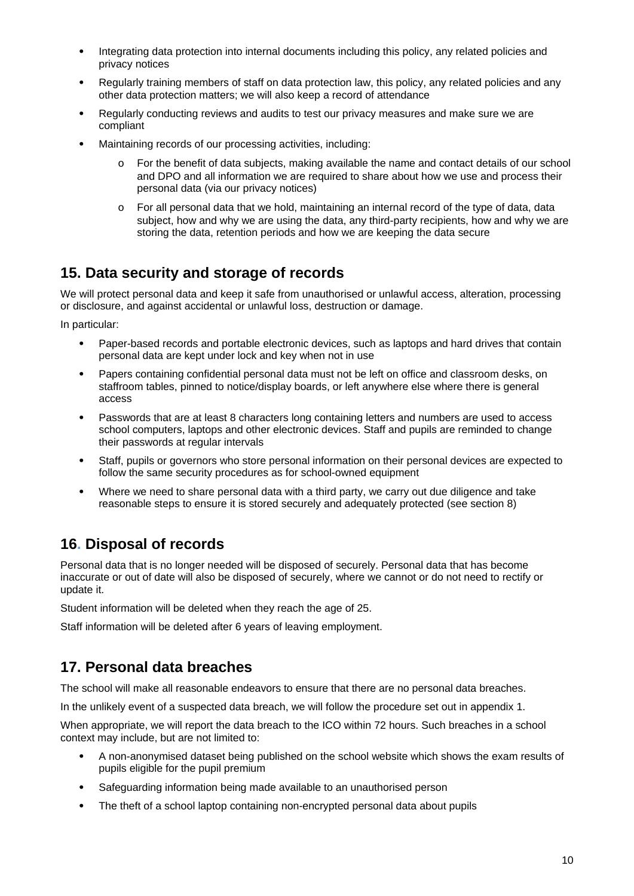- Integrating data protection into internal documents including this policy, any related policies and privacy notices
- Regularly training members of staff on data protection law, this policy, any related policies and any other data protection matters; we will also keep a record of attendance
- Regularly conducting reviews and audits to test our privacy measures and make sure we are compliant
- Maintaining records of our processing activities, including:
	- o For the benefit of data subjects, making available the name and contact details of our school and DPO and all information we are required to share about how we use and process their personal data (via our privacy notices)
	- o For all personal data that we hold, maintaining an internal record of the type of data, data subject, how and why we are using the data, any third-party recipients, how and why we are storing the data, retention periods and how we are keeping the data secure

### **15. Data security and storage of records**

We will protect personal data and keep it safe from unauthorised or unlawful access, alteration, processing or disclosure, and against accidental or unlawful loss, destruction or damage.

In particular:

- Paper-based records and portable electronic devices, such as laptops and hard drives that contain personal data are kept under lock and key when not in use
- Papers containing confidential personal data must not be left on office and classroom desks, on staffroom tables, pinned to notice/display boards, or left anywhere else where there is general access
- Passwords that are at least 8 characters long containing letters and numbers are used to access school computers, laptops and other electronic devices. Staff and pupils are reminded to change their passwords at regular intervals
- Staff, pupils or governors who store personal information on their personal devices are expected to follow the same security procedures as for school-owned equipment
- Where we need to share personal data with a third party, we carry out due diligence and take reasonable steps to ensure it is stored securely and adequately protected (see section 8)

# **16. Disposal of records**

Personal data that is no longer needed will be disposed of securely. Personal data that has become inaccurate or out of date will also be disposed of securely, where we cannot or do not need to rectify or update it.

Student information will be deleted when they reach the age of 25.

Staff information will be deleted after 6 years of leaving employment.

# **17. Personal data breaches**

The school will make all reasonable endeavors to ensure that there are no personal data breaches.

In the unlikely event of a suspected data breach, we will follow the procedure set out in appendix 1.

When appropriate, we will report the data breach to the ICO within 72 hours. Such breaches in a school context may include, but are not limited to:

- A non-anonymised dataset being published on the school website which shows the exam results of pupils eligible for the pupil premium
- Safeguarding information being made available to an unauthorised person
- The theft of a school laptop containing non-encrypted personal data about pupils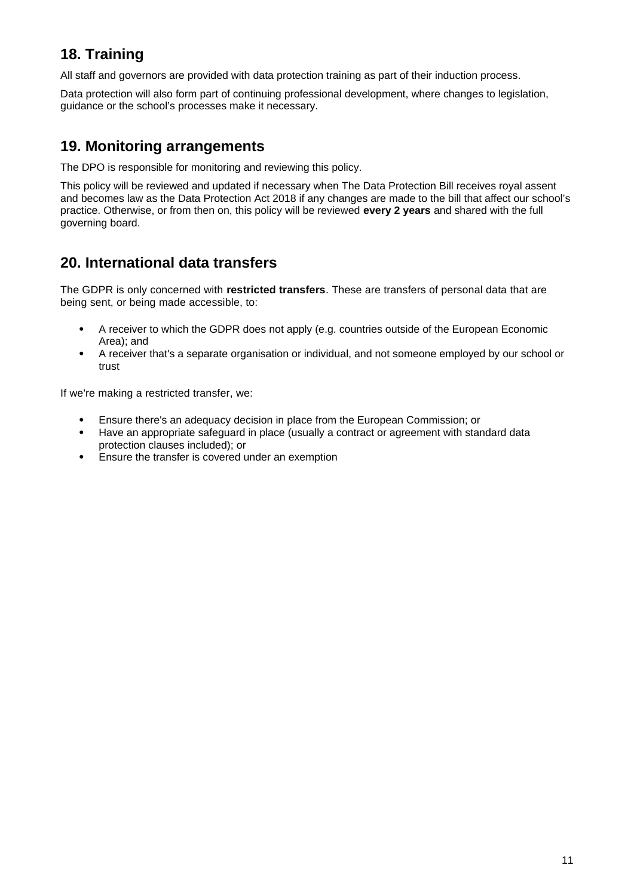# **18. Training**

All staff and governors are provided with data protection training as part of their induction process.

Data protection will also form part of continuing professional development, where changes to legislation, guidance or the school's processes make it necessary.

### **19. Monitoring arrangements**

The DPO is responsible for monitoring and reviewing this policy.

This policy will be reviewed and updated if necessary when The Data Protection Bill receives royal assent and becomes law as the Data Protection Act 2018 if any changes are made to the bill that affect our school's practice. Otherwise, or from then on, this policy will be reviewed **every 2 years** and shared with the full governing board.

# **20. International data transfers**

The GDPR is only concerned with **restricted transfers**. These are transfers of personal data that are being sent, or being made accessible, to:

- A receiver to which the GDPR does not apply (e.g. countries outside of the European Economic Area); and
- A receiver that's a separate organisation or individual, and not someone employed by our school or trust

If we're making a restricted transfer, we:

- Ensure there's an adequacy decision in place from the European Commission; or
- Have an appropriate safeguard in place (usually a contract or agreement with standard data protection clauses included); or
- Ensure the transfer is covered under an exemption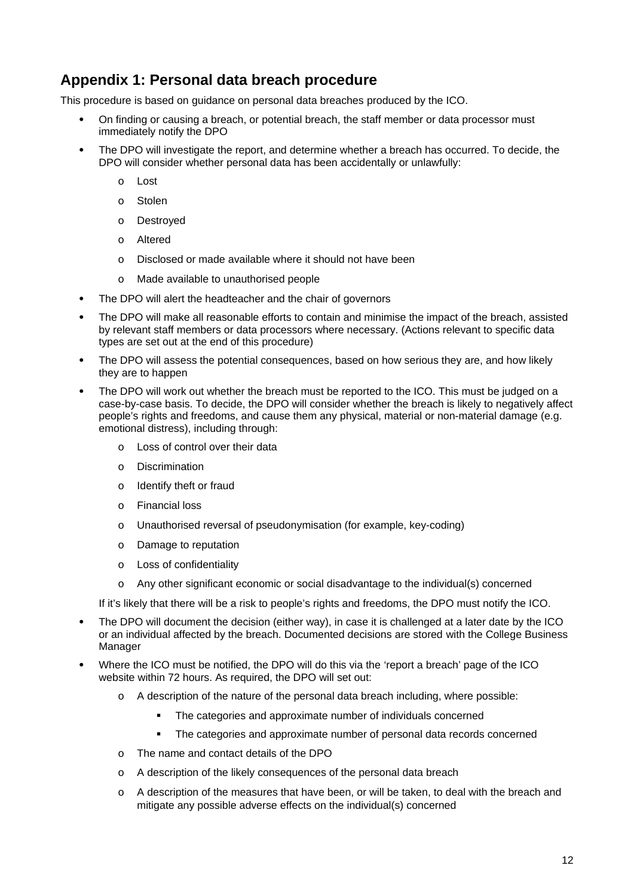# **Appendix 1: Personal data breach procedure**

This procedure is based on [guidance on personal data breaches](https://ico.org.uk/for-organisations/guide-to-the-general-data-protection-regulation-gdpr/personal-data-breaches/) produced by the ICO.

- On finding or causing a breach, or potential breach, the staff member or data processor must immediately notify the DPO
- The DPO will investigate the report, and determine whether a breach has occurred. To decide, the DPO will consider whether personal data has been accidentally or unlawfully:
	- o Lost
	- o Stolen
	- o Destroyed
	- o Altered
	- o Disclosed or made available where it should not have been
	- o Made available to unauthorised people
- The DPO will alert the headteacher and the chair of governors
- The DPO will make all reasonable efforts to contain and minimise the impact of the breach, assisted by relevant staff members or data processors where necessary. (Actions relevant to specific data types are set out at the end of this procedure)
- The DPO will assess the potential consequences, based on how serious they are, and how likely they are to happen
- The DPO will work out whether the breach must be reported to the ICO. This must be judged on a case-by-case basis. To decide, the DPO will consider whether the breach is likely to negatively affect people's rights and freedoms, and cause them any physical, material or non-material damage (e.g. emotional distress), including through:
	- o Loss of control over their data
	- o Discrimination
	- o Identify theft or fraud
	- o Financial loss
	- o Unauthorised reversal of pseudonymisation (for example, key-coding)
	- o Damage to reputation
	- o Loss of confidentiality
	- o Any other significant economic or social disadvantage to the individual(s) concerned

If it's likely that there will be a risk to people's rights and freedoms, the DPO must notify the ICO.

- The DPO will document the decision (either way), in case it is challenged at a later date by the ICO or an individual affected by the breach. Documented decisions are stored with the College Business Manager
- Where the ICO must be notified, the DPO will do this via the ['report a breach' page of the ICO](https://ico.org.uk/for-organisations/report-a-breach/)  [website](https://ico.org.uk/for-organisations/report-a-breach/) within 72 hours. As required, the DPO will set out:
	- o A description of the nature of the personal data breach including, where possible:
		- **The categories and approximate number of individuals concerned**
		- The categories and approximate number of personal data records concerned
	- o The name and contact details of the DPO
	- o A description of the likely consequences of the personal data breach
	- o A description of the measures that have been, or will be taken, to deal with the breach and mitigate any possible adverse effects on the individual(s) concerned